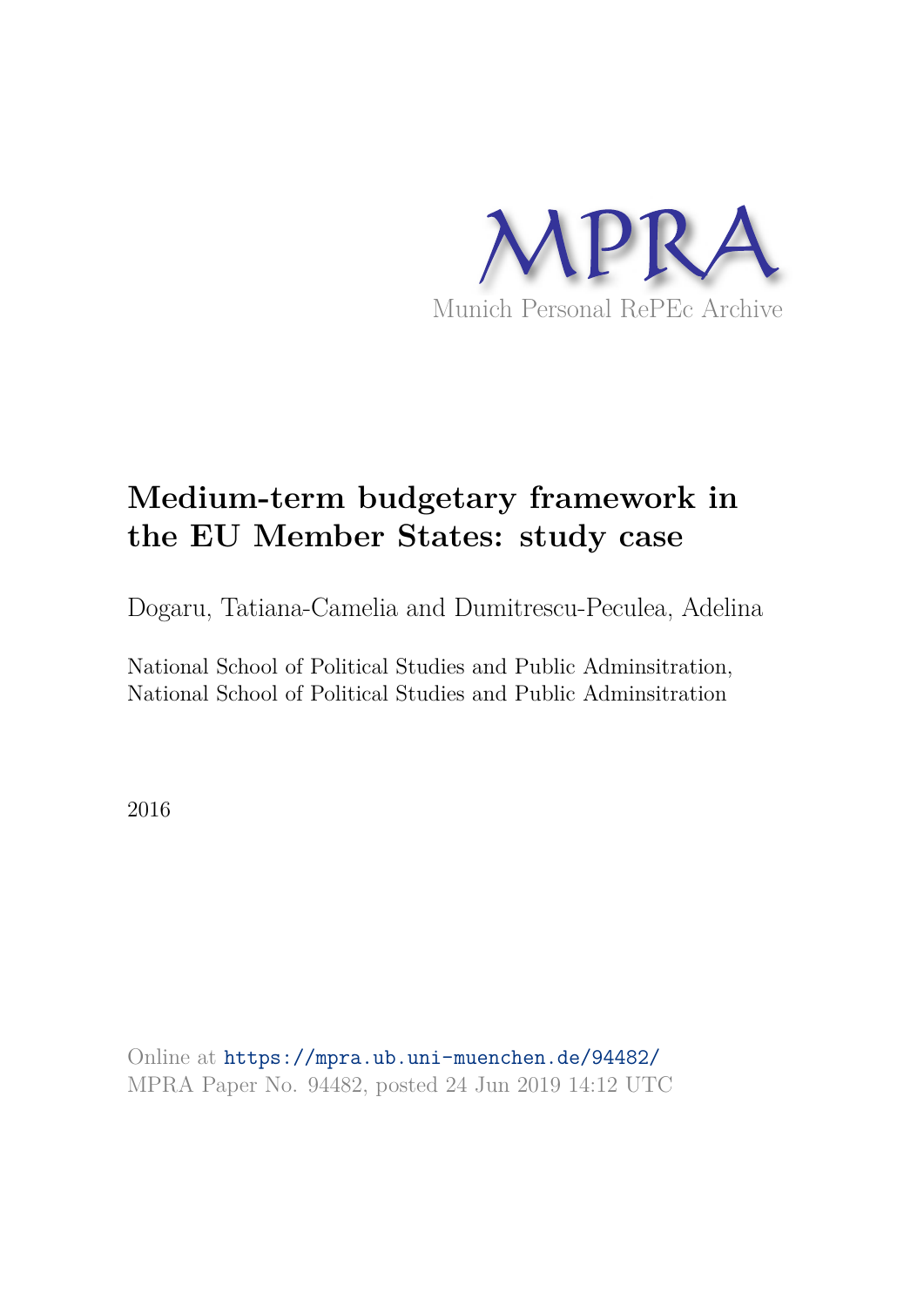

# **Medium-term budgetary framework in the EU Member States: study case**

Dogaru, Tatiana-Camelia and Dumitrescu-Peculea, Adelina

National School of Political Studies and Public Adminsitration, National School of Political Studies and Public Adminsitration

2016

Online at https://mpra.ub.uni-muenchen.de/94482/ MPRA Paper No. 94482, posted 24 Jun 2019 14:12 UTC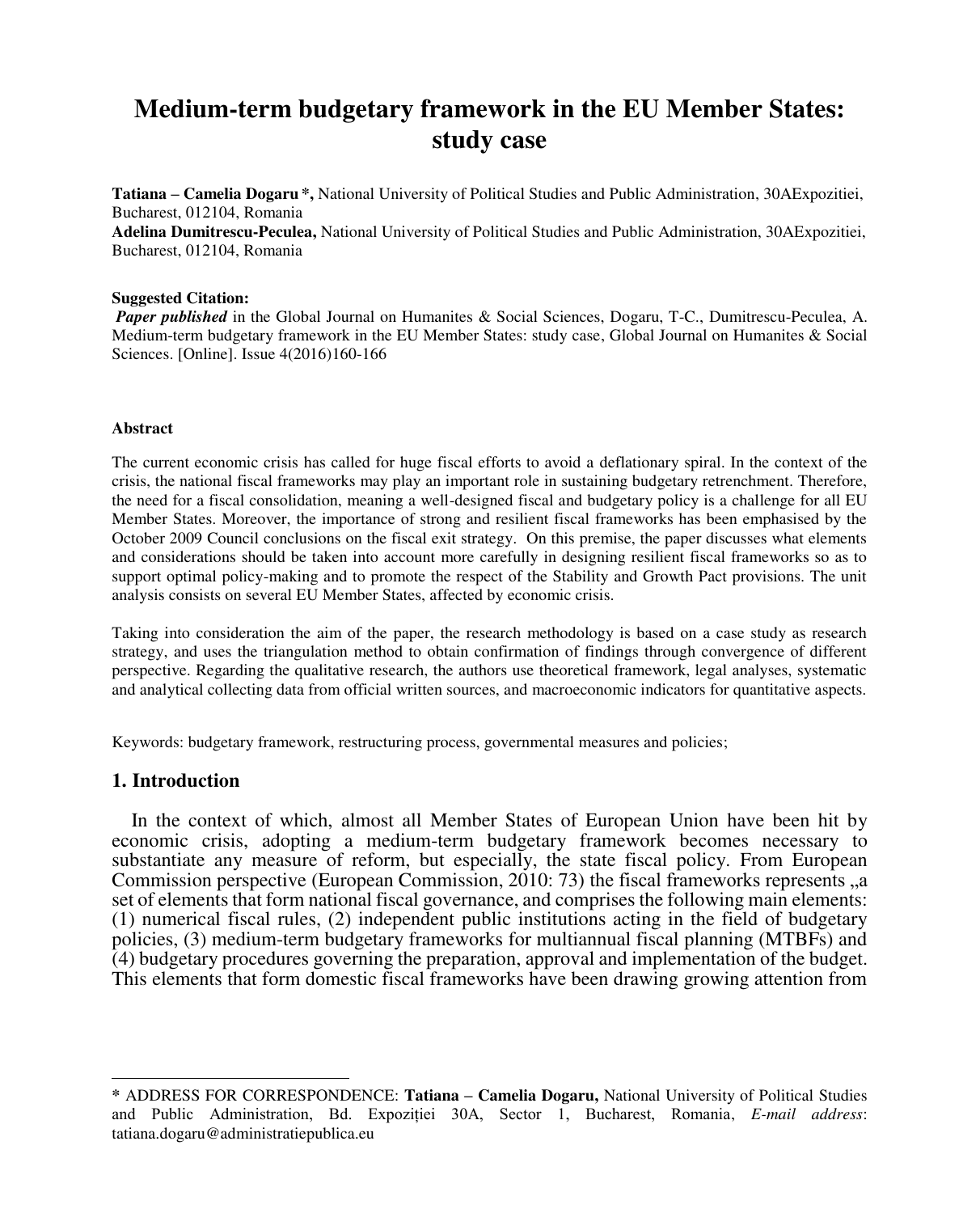# **Medium-term budgetary framework in the EU Member States: study case**

**Tatiana – Camelia Dogaru \*,** National University of Political Studies and Public Administration, 30AExpozitiei, Bucharest, 012104, Romania

**Adelina Dumitrescu-Peculea,** National University of Political Studies and Public Administration, 30AExpozitiei, Bucharest, 012104, Romania

#### **Suggested Citation:**

 *Paper published* in the Global Journal on Humanites & Social Sciences, Dogaru, T-C., Dumitrescu-Peculea, A. Medium-term budgetary framework in the EU Member States: study case, Global Journal on Humanites & Social Sciences. [Online]. Issue 4(2016)160-166

#### **Abstract**

The current economic crisis has called for huge fiscal efforts to avoid a deflationary spiral. In the context of the crisis, the national fiscal frameworks may play an important role in sustaining budgetary retrenchment. Therefore, the need for a fiscal consolidation, meaning a well-designed fiscal and budgetary policy is a challenge for all EU Member States. Moreover, the importance of strong and resilient fiscal frameworks has been emphasised by the October 2009 Council conclusions on the fiscal exit strategy. On this premise, the paper discusses what elements and considerations should be taken into account more carefully in designing resilient fiscal frameworks so as to support optimal policy-making and to promote the respect of the Stability and Growth Pact provisions. The unit analysis consists on several EU Member States, affected by economic crisis.

Taking into consideration the aim of the paper, the research methodology is based on a case study as research strategy, and uses the triangulation method to obtain confirmation of findings through convergence of different perspective. Regarding the qualitative research, the authors use theoretical framework, legal analyses, systematic and analytical collecting data from official written sources, and macroeconomic indicators for quantitative aspects.

Keywords: budgetary framework, restructuring process, governmental measures and policies;

#### **1. Introduction**

 $\overline{a}$ 

In the context of which, almost all Member States of European Union have been hit by economic crisis, adopting a medium-term budgetary framework becomes necessary to substantiate any measure of reform, but especially, the state fiscal policy. From European Commission perspective (European Commission,  $2010: 73$ ) the fiscal frameworks represents  $\alpha$ set of elements that form national fiscal governance, and comprises the following main elements: (1) numerical fiscal rules, (2) independent public institutions acting in the field of budgetary policies, (3) medium-term budgetary frameworks for multiannual fiscal planning (MTBFs) and (4) budgetary procedures governing the preparation, approval and implementation of the budget. This elements that form domestic fiscal frameworks have been drawing growing attention from

**<sup>\*</sup>** ADDRESS FOR CORRESPONDENCE: **Tatiana – Camelia Dogaru,** National University of Political Studies and Public Administration, Bd. Expoziției 30A, Sector 1, Bucharest, Romania, *E-mail address*: tatiana.dogaru@administratiepublica.eu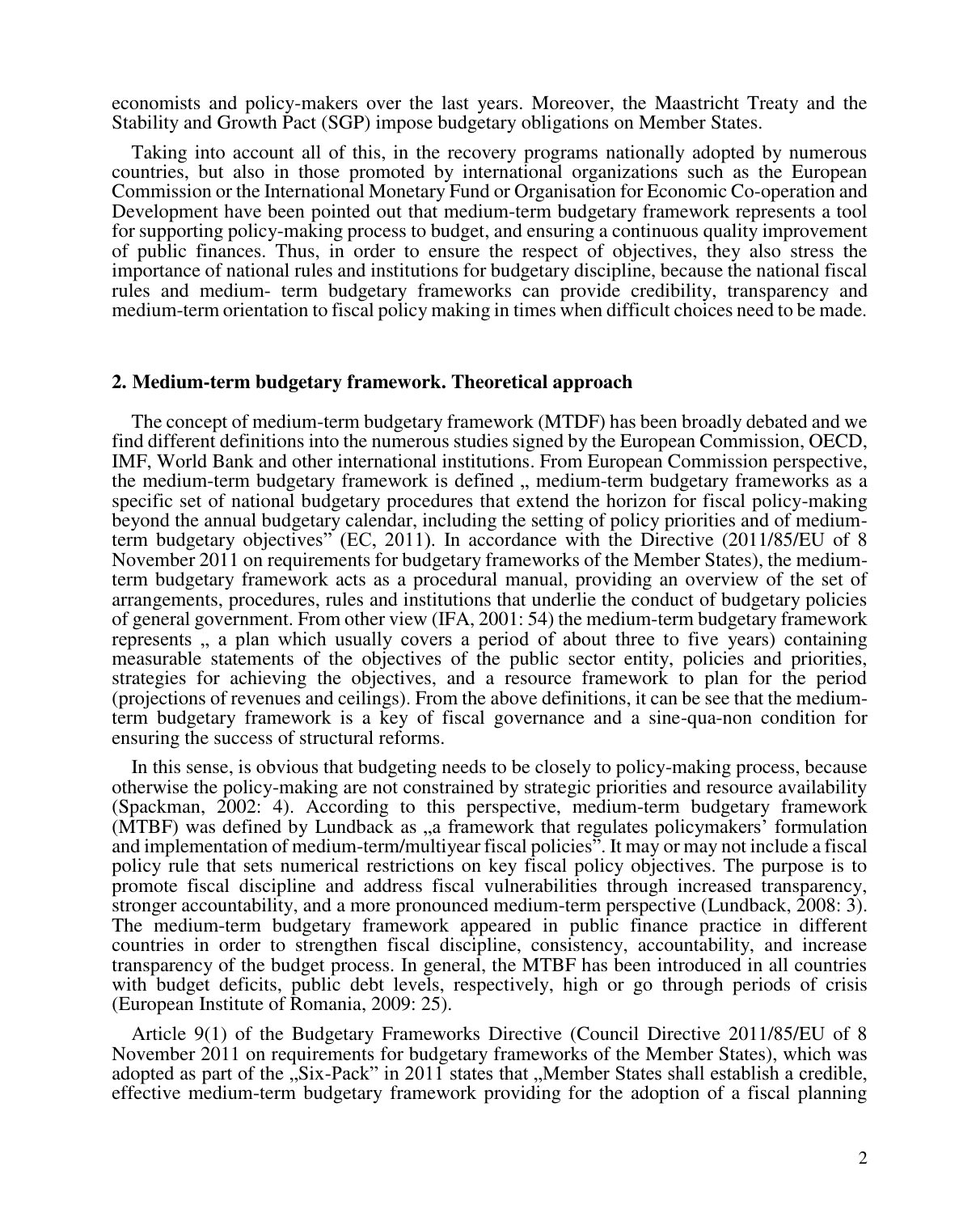economists and policy-makers over the last years. Moreover, the Maastricht Treaty and the Stability and Growth Pact (SGP) impose budgetary obligations on Member States.

Taking into account all of this, in the recovery programs nationally adopted by numerous countries, but also in those promoted by international organizations such as the European Commission or the International Monetary Fund or Organisation for Economic Co-operation and Development have been pointed out that medium-term budgetary framework represents a tool for supporting policy-making process to budget, and ensuring a continuous quality improvement of public finances. Thus, in order to ensure the respect of objectives, they also stress the importance of national rules and institutions for budgetary discipline, because the national fiscal rules and medium- term budgetary frameworks can provide credibility, transparency and medium-term orientation to fiscal policy making in times when difficult choices need to be made.

#### **2. Medium-term budgetary framework. Theoretical approach**

The concept of medium-term budgetary framework (MTDF) has been broadly debated and we find different definitions into the numerous studies signed by the European Commission, OECD, IMF, World Bank and other international institutions. From European Commission perspective, the medium-term budgetary framework is defined  $\mu$ , medium-term budgetary frameworks as a specific set of national budgetary procedures that extend the horizon for fiscal policy-making beyond the annual budgetary calendar, including the setting of policy priorities and of mediumterm budgetary objectives" (EC, 2011). In accordance with the Directive (2011/85/EU of 8 November 2011 on requirements for budgetary frameworks of the Member States), the mediumterm budgetary framework acts as a procedural manual, providing an overview of the set of arrangements, procedures, rules and institutions that underlie the conduct of budgetary policies of general government. From other view (IFA, 2001: 54) the medium-term budgetary framework represents , a plan which usually covers a period of about three to five years) containing measurable statements of the objectives of the public sector entity, policies and priorities, strategies for achieving the objectives, and a resource framework to plan for the period (projections of revenues and ceilings). From the above definitions, it can be see that the mediumterm budgetary framework is a key of fiscal governance and a sine-qua-non condition for ensuring the success of structural reforms.

In this sense, is obvious that budgeting needs to be closely to policy-making process, because otherwise the policy-making are not constrained by strategic priorities and resource availability (Spackman, 2002: 4). According to this perspective, medium-term budgetary framework (MTBF) was defined by Lundback as <sub>y</sub> framework that regulates policymakers' formulation and implementation of medium-term/multiyear fiscal policies". It may or may not include a fiscal policy rule that sets numerical restrictions on key fiscal policy objectives. The purpose is to promote fiscal discipline and address fiscal vulnerabilities through increased transparency, stronger accountability, and a more pronounced medium-term perspective (Lundback, 2008: 3). The medium-term budgetary framework appeared in public finance practice in different countries in order to strengthen fiscal discipline, consistency, accountability, and increase transparency of the budget process. In general, the MTBF has been introduced in all countries with budget deficits, public debt levels, respectively, high or go through periods of crisis (European Institute of Romania, 2009: 25).

Article 9(1) of the Budgetary Frameworks Directive (Council Directive 2011/85/EU of 8 November 2011 on requirements for budgetary frameworks of the Member States), which was adopted as part of the "Six-Pack" in 2011 states that "Member States shall establish a credible, effective medium-term budgetary framework providing for the adoption of a fiscal planning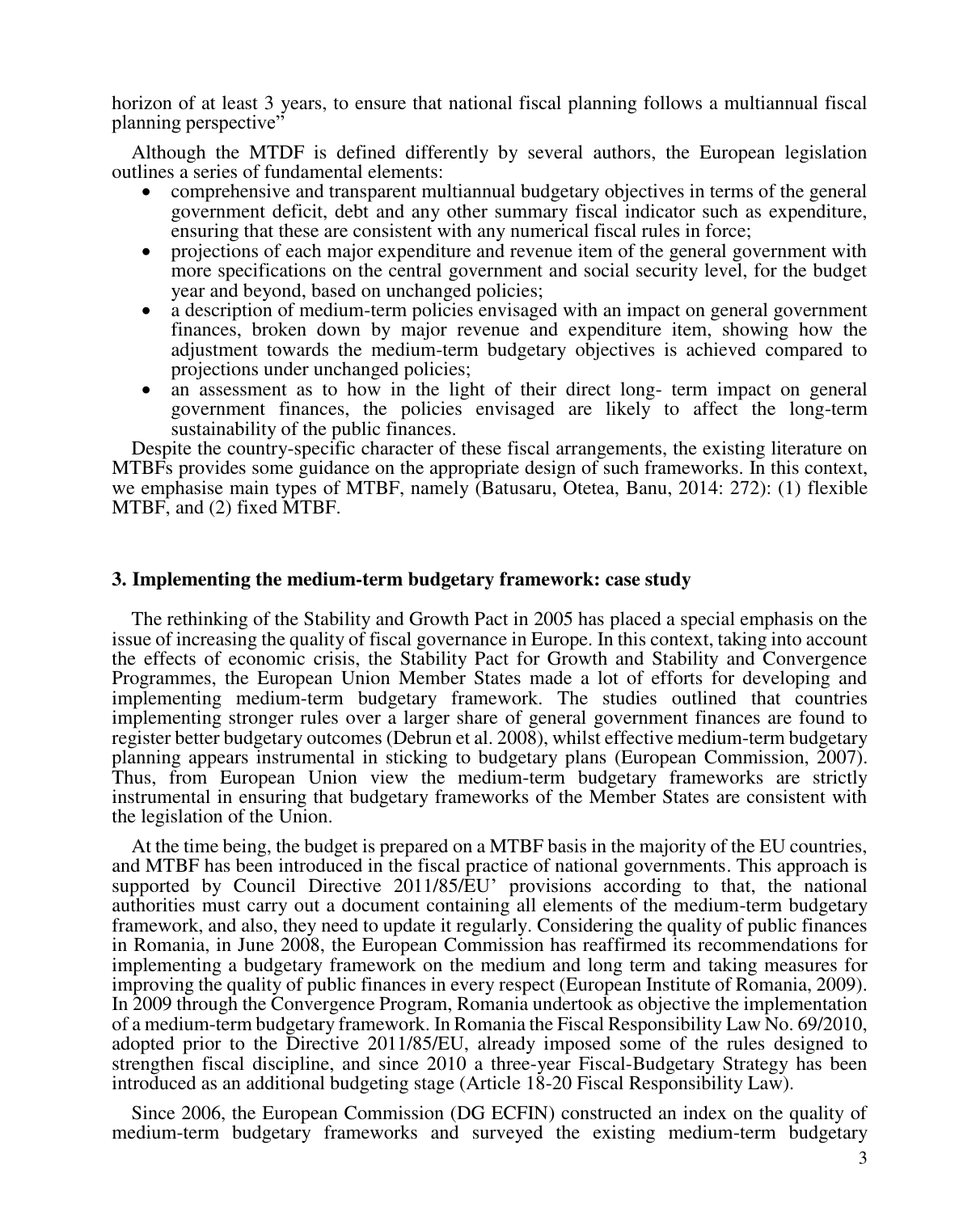horizon of at least 3 years, to ensure that national fiscal planning follows a multiannual fiscal planning perspective"

Although the MTDF is defined differently by several authors, the European legislation outlines a series of fundamental elements:

- comprehensive and transparent multiannual budgetary objectives in terms of the general government deficit, debt and any other summary fiscal indicator such as expenditure, ensuring that these are consistent with any numerical fiscal rules in force;
- projections of each major expenditure and revenue item of the general government with more specifications on the central government and social security level, for the budget year and beyond, based on unchanged policies;
- a description of medium-term policies envisaged with an impact on general government finances, broken down by major revenue and expenditure item, showing how the adjustment towards the medium-term budgetary objectives is achieved compared to projections under unchanged policies;
- an assessment as to how in the light of their direct long- term impact on general government finances, the policies envisaged are likely to affect the long-term sustainability of the public finances.

Despite the country-specific character of these fiscal arrangements, the existing literature on MTBFs provides some guidance on the appropriate design of such frameworks. In this context, we emphasise main types of MTBF, namely (Batusaru, Otetea, Banu, 2014: 272): (1) flexible MTBF, and (2) fixed MTBF.

#### **3. Implementing the medium-term budgetary framework: case study**

The rethinking of the Stability and Growth Pact in 2005 has placed a special emphasis on the issue of increasing the quality of fiscal governance in Europe. In this context, taking into account the effects of economic crisis, the Stability Pact for Growth and Stability and Convergence Programmes, the European Union Member States made a lot of efforts for developing and implementing medium-term budgetary framework. The studies outlined that countries implementing stronger rules over a larger share of general government finances are found to register better budgetary outcomes (Debrun et al. 2008), whilst effective medium-term budgetary planning appears instrumental in sticking to budgetary plans (European Commission, 2007). Thus, from European Union view the medium-term budgetary frameworks are strictly instrumental in ensuring that budgetary frameworks of the Member States are consistent with the legislation of the Union.

At the time being, the budget is prepared on a MTBF basis in the majority of the EU countries, and MTBF has been introduced in the fiscal practice of national governments. This approach is supported by Council Directive 2011/85/EU' provisions according to that, the national authorities must carry out a document containing all elements of the medium-term budgetary framework, and also, they need to update it regularly. Considering the quality of public finances in Romania, in June 2008, the European Commission has reaffirmed its recommendations for implementing a budgetary framework on the medium and long term and taking measures for improving the quality of public finances in every respect (European Institute of Romania, 2009). In 2009 through the Convergence Program, Romania undertook as objective the implementation of a medium-term budgetary framework. In Romania the Fiscal Responsibility Law No. 69/2010, adopted prior to the Directive 2011/85/EU, already imposed some of the rules designed to strengthen fiscal discipline, and since 2010 a three-year Fiscal-Budgetary Strategy has been introduced as an additional budgeting stage (Article 18-20 Fiscal Responsibility Law).

Since 2006, the European Commission (DG ECFIN) constructed an index on the quality of medium-term budgetary frameworks and surveyed the existing medium-term budgetary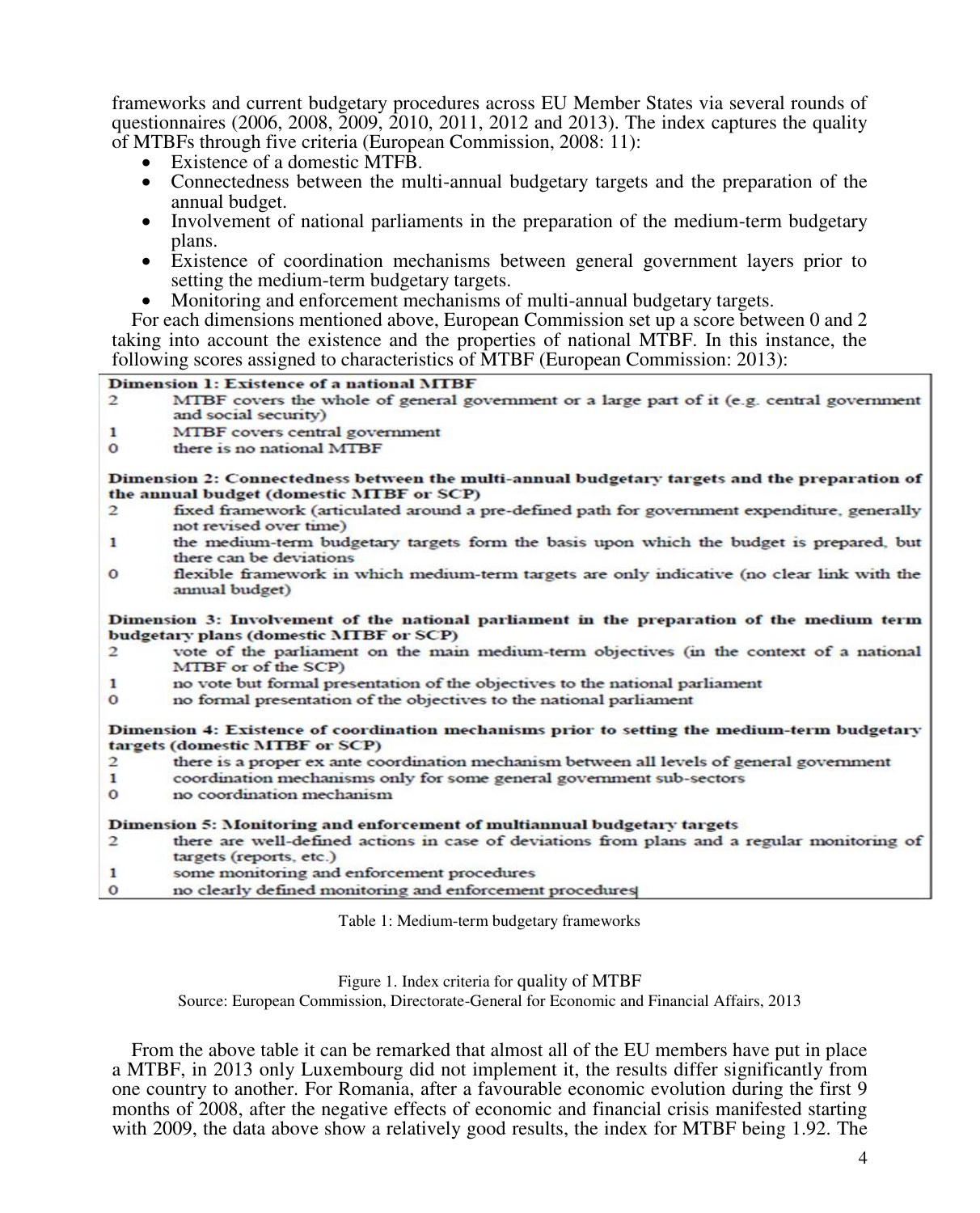frameworks and current budgetary procedures across EU Member States via several rounds of questionnaires (2006, 2008, 2009, 2010, 2011, 2012 and 2013). The index captures the quality of MTBFs through five criteria (European Commission, 2008: 11):

- Existence of a domestic MTFB.
- Connectedness between the multi-annual budgetary targets and the preparation of the annual budget.
- Involvement of national parliaments in the preparation of the medium-term budgetary plans.
- Existence of coordination mechanisms between general government layers prior to setting the medium-term budgetary targets.
- Monitoring and enforcement mechanisms of multi-annual budgetary targets.

For each dimensions mentioned above, European Commission set up a score between 0 and 2 taking into account the existence and the properties of national MTBF. In this instance, the following scores assigned to characteristics of MTBF (European Commission: 2013):

#### **Dimension 1: Existence of a national MTBF**

- MTBF covers the whole of general government or a large part of it (e.g. central government  $\mathcal{D}$ and social security)
- $\mathbf{1}$ MTBF covers central government
- $\Omega$ there is no national MTBF

Dimension 2: Connectedness between the multi-annual budgetary targets and the preparation of the annual budget (domestic MTBF or SCP)

- $\mathcal{D}$ fixed framework (articulated around a pre-defined path for government expenditure, generally not revised over time)
- $\mathbf{1}$ the medium-term budgetary targets form the basis upon which the budget is prepared, but there can be deviations
- flexible framework in which medium-term targets are only indicative (no clear link with the  $\Omega$ annual budget)

Dimension 3: Involvement of the national parliament in the preparation of the medium term budgetary plans (domestic MTBF or SCP)

- vote of the parliament on the main medium-term objectives (in the context of a national  $\overline{2}$ MTBF or of the SCP)
- $\mathbf{1}$ no vote but formal presentation of the objectives to the national parliament
- no formal presentation of the objectives to the national parliament  $\Omega$

Dimension 4: Existence of coordination mechanisms prior to setting the medium-term budgetary targets (domestic MTBF or SCP)

- there is a proper ex ante coordination mechanism between all levels of general government  $\overline{2}$
- coordination mechanisms only for some general government sub-sectors  $\mathbf{1}$
- $\circ$ no coordination mechanism

Dimension 5: Monitoring and enforcement of multiannual budgetary targets

- there are well-defined actions in case of deviations from plans and a regular monitoring of  $\overline{c}$ targets (reports, etc.)
- $\mathbf{1}$ some monitoring and enforcement procedures
- $\mathbf 0$ no clearly defined monitoring and enforcement procedures

Table 1: Medium-term budgetary frameworks

Figure 1. Index criteria for quality of MTBF

Source: European Commission, Directorate-General for Economic and Financial Affairs, 2013

From the above table it can be remarked that almost all of the EU members have put in place a MTBF, in 2013 only Luxembourg did not implement it, the results differ significantly from one country to another. For Romania, after a favourable economic evolution during the first 9 months of 2008, after the negative effects of economic and financial crisis manifested starting with 2009, the data above show a relatively good results, the index for MTBF being 1.92. The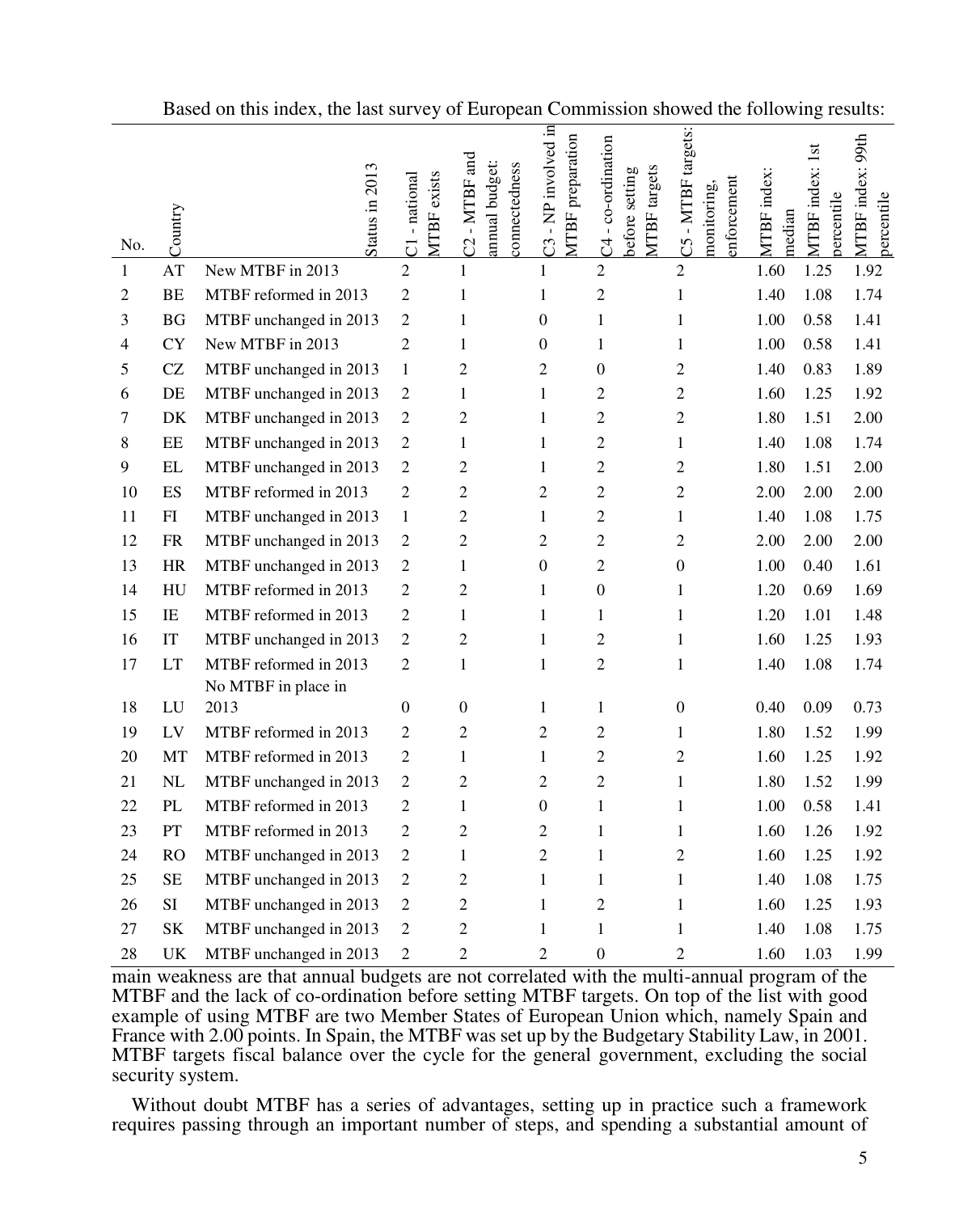| No.            | Country                    | Status in 2013         | <b>MTBF</b> exists<br>C1-national | C2 - MTBF and<br>annual budget:<br>connectedness | C3 - NP involved in<br>MTBF preparation | C4-co-ordination<br>MTBF targets<br>before setting | C5 - MTBF targets:<br>enforcement<br>monitoring, | MTBF index:<br>median | MTBF index: 1st<br>percentile | MTBF index: 99th<br>percentile |
|----------------|----------------------------|------------------------|-----------------------------------|--------------------------------------------------|-----------------------------------------|----------------------------------------------------|--------------------------------------------------|-----------------------|-------------------------------|--------------------------------|
| 1              | AT                         | New MTBF in 2013       | $\overline{2}$                    | $\mathbf{1}$                                     | $\mathbf{1}$                            | $\overline{2}$                                     | $\overline{2}$                                   | 1.60                  | 1.25                          | 1.92                           |
| $\overline{2}$ | <b>BE</b>                  | MTBF reformed in 2013  | $\sqrt{2}$                        | $\mathbf{1}$                                     | $\mathbf{1}$                            | $\sqrt{2}$                                         | $\mathbf{1}$                                     | 1.40                  | 1.08                          | 1.74                           |
| 3              | <b>BG</b>                  | MTBF unchanged in 2013 | $\sqrt{2}$                        | $\mathbf{1}$                                     | $\boldsymbol{0}$                        | $\mathbf{1}$                                       | $\mathbf{1}$                                     | 1.00                  | 0.58                          | 1.41                           |
| 4              | <b>CY</b>                  | New MTBF in 2013       | $\overline{c}$                    | $\mathbf{1}$                                     | $\overline{0}$                          | $\mathbf{1}$                                       | $\mathbf{1}$                                     | 1.00                  | 0.58                          | 1.41                           |
| 5              | CZ                         | MTBF unchanged in 2013 | $\mathbf{1}$                      | $\overline{c}$                                   | $\overline{2}$                          | $\boldsymbol{0}$                                   | $\overline{c}$                                   | 1.40                  | 0.83                          | 1.89                           |
| 6              | $\rm DE$                   | MTBF unchanged in 2013 | $\sqrt{2}$                        | $\mathbf{1}$                                     | $\mathbf{1}$                            | $\overline{2}$                                     | $\overline{c}$                                   | 1.60                  | 1.25                          | 1.92                           |
| 7              | DK                         | MTBF unchanged in 2013 | $\sqrt{2}$                        | 2                                                | $\mathbf{1}$                            | $\overline{2}$                                     | $\overline{c}$                                   | 1.80                  | 1.51                          | 2.00                           |
| 8              | $\rm EE$                   | MTBF unchanged in 2013 | $\sqrt{2}$                        | $\mathbf{1}$                                     | $\mathbf{1}$                            | $\overline{2}$                                     | $\mathbf{1}$                                     | 1.40                  | 1.08                          | 1.74                           |
| 9              | $\mathbf{EL}$              | MTBF unchanged in 2013 | $\sqrt{2}$                        | $\sqrt{2}$                                       | $\mathbf{1}$                            | $\sqrt{2}$                                         | $\overline{c}$                                   | 1.80                  | 1.51                          | 2.00                           |
| 10             | ES                         | MTBF reformed in 2013  | $\sqrt{2}$                        | $\overline{2}$                                   | $\overline{2}$                          | $\overline{2}$                                     | $\overline{c}$                                   | 2.00                  | 2.00                          | 2.00                           |
| 11             | FI                         | MTBF unchanged in 2013 | $\mathbf{1}$                      | 2                                                | $\mathbf{1}$                            | $\overline{c}$                                     | $\mathbf{1}$                                     | 1.40                  | 1.08                          | 1.75                           |
| 12             | <b>FR</b>                  | MTBF unchanged in 2013 | $\overline{2}$                    | $\overline{c}$                                   | $\overline{2}$                          | $\overline{2}$                                     | $\overline{c}$                                   | 2.00                  | 2.00                          | 2.00                           |
| 13             | <b>HR</b>                  | MTBF unchanged in 2013 | $\overline{2}$                    | $\mathbf{1}$                                     | $\boldsymbol{0}$                        | $\overline{c}$                                     | $\boldsymbol{0}$                                 | 1.00                  | 0.40                          | 1.61                           |
| 14             | HU                         | MTBF reformed in 2013  | $\overline{2}$                    | 2                                                | $\mathbf{1}$                            | $\mathbf{0}$                                       | $\mathbf{1}$                                     | 1.20                  | 0.69                          | 1.69                           |
| 15             | IE                         | MTBF reformed in 2013  | $\mathfrak{2}$                    | $\mathbf{1}$                                     | $\mathbf{1}$                            | $\mathbf{1}$                                       | $\mathbf{1}$                                     | 1.20                  | 1.01                          | 1.48                           |
| 16             | $\ensuremath{\mathsf{IT}}$ | MTBF unchanged in 2013 | $\sqrt{2}$                        | $\overline{c}$                                   | $\mathbf{1}$                            | $\overline{2}$                                     | $\mathbf{1}$                                     | 1.60                  | 1.25                          | 1.93                           |
| 17             | LT                         | MTBF reformed in 2013  | $\overline{c}$                    | $\mathbf{1}$                                     | $\mathbf{1}$                            | $\overline{2}$                                     | $\mathbf{1}$                                     | 1.40                  | 1.08                          | 1.74                           |
|                |                            | No MTBF in place in    |                                   |                                                  |                                         |                                                    |                                                  |                       |                               |                                |
| 18             | LU                         | 2013                   | $\boldsymbol{0}$                  | $\boldsymbol{0}$                                 | $\mathbf{1}$                            | 1                                                  | $\boldsymbol{0}$                                 | 0.40                  | 0.09                          | 0.73                           |
| 19             | LV                         | MTBF reformed in 2013  | $\overline{c}$                    | $\overline{c}$                                   | $\overline{2}$                          | $\overline{2}$                                     | $\mathbf{1}$                                     | 1.80                  | 1.52                          | 1.99                           |
| 20             | MT                         | MTBF reformed in 2013  | $\sqrt{2}$                        | $\mathbf{1}$                                     | $\mathbf{1}$                            | $\sqrt{2}$                                         | $\overline{c}$                                   | 1.60                  | 1.25                          | 1.92                           |
| 21             | NL                         | MTBF unchanged in 2013 | $\sqrt{2}$                        | 2                                                | $\overline{2}$                          | $\overline{2}$                                     | $\mathbf{1}$                                     | 1.80                  | 1.52                          | 1.99                           |
| 22             | $\mathbf{PL}$              | MTBF reformed in 2013  | $\overline{c}$                    | $\mathbf{1}$                                     | $\boldsymbol{0}$                        | $\mathbf{1}$                                       | $\mathbf{1}$                                     | 1.00                  | 0.58                          | 1.41                           |
| 23             | ${\cal PT}$                | MTBF reformed in 2013  | $\sqrt{2}$                        | $\overline{c}$                                   | $\overline{2}$                          | $\mathbf{1}$                                       | $\mathbf{1}$                                     | 1.60                  | 1.26                          | 1.92                           |
| 24             | <b>RO</b>                  | MTBF unchanged in 2013 | $\sqrt{2}$                        | $\mathbf{1}$                                     | $\overline{2}$                          | 1                                                  | $\overline{c}$                                   | 1.60                  | 1.25                          | 1.92                           |
| 25             | <b>SE</b>                  | MTBF unchanged in 2013 | $\sqrt{2}$                        | $\overline{2}$                                   | $\mathbf{1}$                            | $\mathbf{1}$                                       | $\mathbf{1}$                                     | 1.40                  | 1.08                          | 1.75                           |
| 26             | SI                         | MTBF unchanged in 2013 | $\sqrt{2}$                        | $\overline{c}$                                   | $\mathbf{1}$                            | $\overline{2}$                                     | $\mathbf{1}$                                     | 1.60                  | 1.25                          | 1.93                           |
| 27             | $\rm SK$                   | MTBF unchanged in 2013 | $\sqrt{2}$                        | $\overline{c}$                                   | $\mathbf{1}$                            | $\mathbf{1}$                                       | $\mathbf{1}$                                     | 1.40                  | 1.08                          | 1.75                           |
| 28             | UK                         | MTBF unchanged in 2013 | $\overline{c}$                    | $\overline{2}$                                   | $\overline{2}$                          | $\mathbf{0}$                                       | $\overline{2}$                                   | 1.60                  | 1.03                          | 1.99                           |

Based on this index, the last survey of European Commission showed the following results:

main weakness are that annual budgets are not correlated with the multi-annual program of the MTBF and the lack of co-ordination before setting MTBF targets. On top of the list with good example of using MTBF are two Member States of European Union which, namely Spain and France with 2.00 points. In Spain, the MTBF was set up by the Budgetary Stability Law, in 2001. MTBF targets fiscal balance over the cycle for the general government, excluding the social security system.

Without doubt MTBF has a series of advantages, setting up in practice such a framework requires passing through an important number of steps, and spending a substantial amount of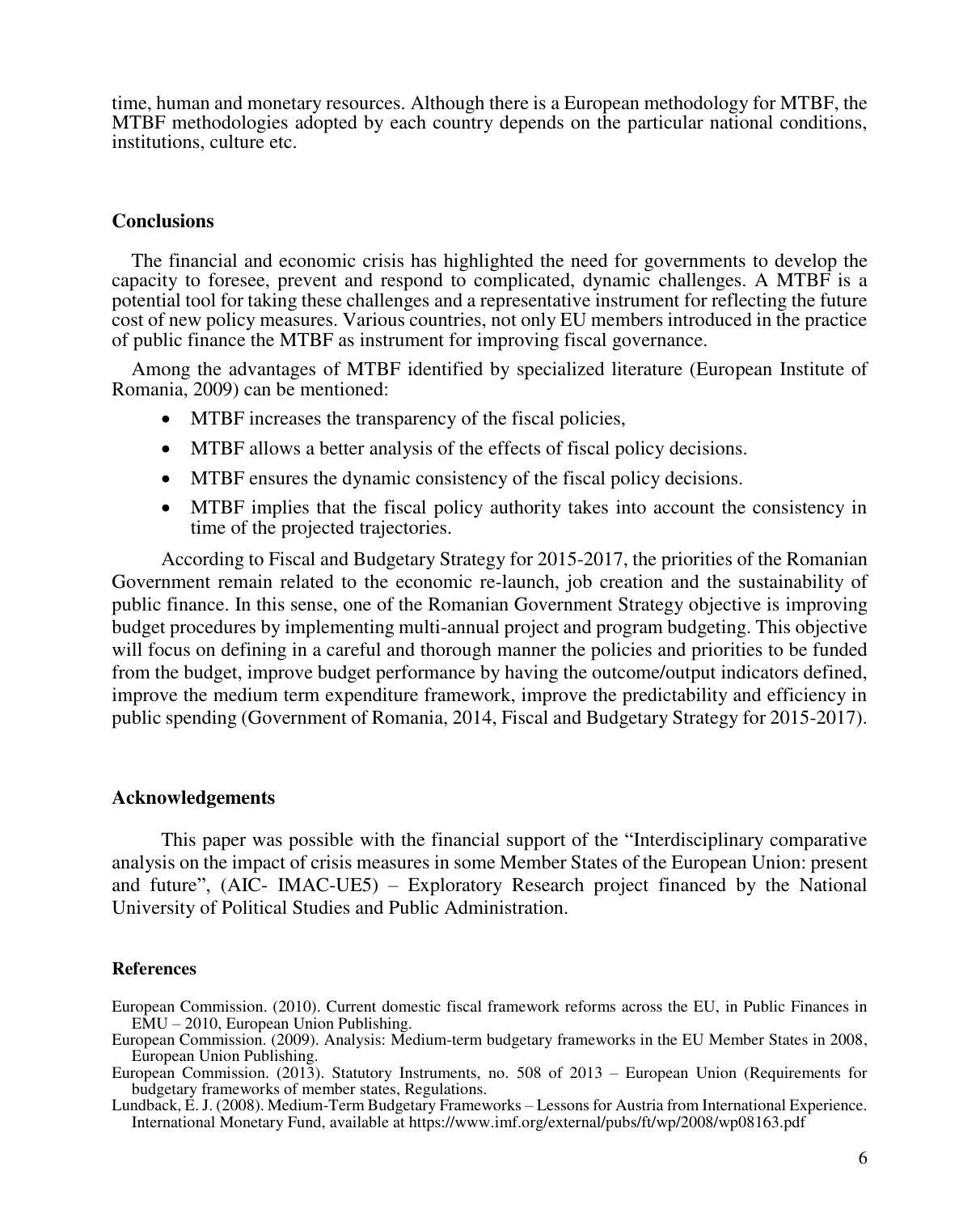time, human and monetary resources. Although there is a European methodology for MTBF, the MTBF methodologies adopted by each country depends on the particular national conditions, institutions, culture etc.

## **Conclusions**

The financial and economic crisis has highlighted the need for governments to develop the capacity to foresee, prevent and respond to complicated, dynamic challenges. A MTBF is a potential tool for taking these challenges and a representative instrument for reflecting the future cost of new policy measures. Various countries, not only EU members introduced in the practice of public finance the MTBF as instrument for improving fiscal governance.

Among the advantages of MTBF identified by specialized literature (European Institute of Romania, 2009) can be mentioned:

- MTBF increases the transparency of the fiscal policies,
- MTBF allows a better analysis of the effects of fiscal policy decisions.
- MTBF ensures the dynamic consistency of the fiscal policy decisions.
- MTBF implies that the fiscal policy authority takes into account the consistency in time of the projected trajectories.

According to Fiscal and Budgetary Strategy for 2015-2017, the priorities of the Romanian Government remain related to the economic re-launch, job creation and the sustainability of public finance. In this sense, one of the Romanian Government Strategy objective is improving budget procedures by implementing multi-annual project and program budgeting. This objective will focus on defining in a careful and thorough manner the policies and priorities to be funded from the budget, improve budget performance by having the outcome/output indicators defined, improve the medium term expenditure framework, improve the predictability and efficiency in public spending (Government of Romania, 2014, Fiscal and Budgetary Strategy for 2015-2017).

## **Acknowledgements**

This paper was possible with the financial support of the "Interdisciplinary comparative analysis on the impact of crisis measures in some Member States of the European Union: present and future", (AIC- IMAC-UE5) – Exploratory Research project financed by the National University of Political Studies and Public Administration.

#### **References**

European Commission. (2010). Current domestic fiscal framework reforms across the EU, in Public Finances in EMU – 2010, European Union Publishing.

European Commission. (2009). Analysis: Medium-term budgetary frameworks in the EU Member States in 2008, European Union Publishing.

European Commission. (2013). Statutory Instruments, no. 508 of 2013 – European Union (Requirements for budgetary frameworks of member states, Regulations.

Lundback, E. J. (2008). Medium-Term Budgetary Frameworks – Lessons for Austria from International Experience. International Monetary Fund, available at https://www.imf.org/external/pubs/ft/wp/2008/wp08163.pdf